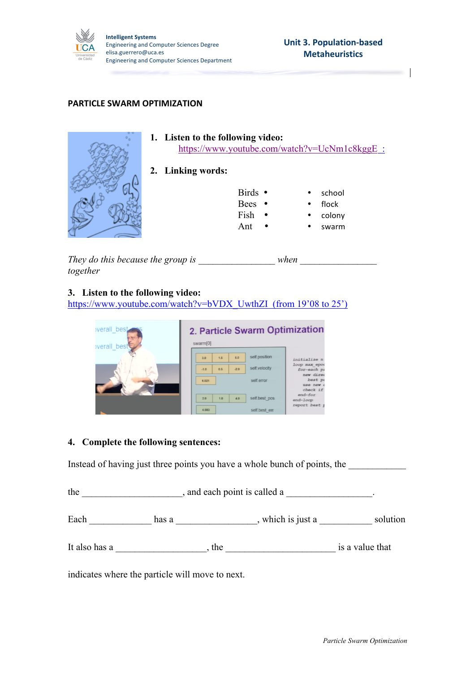

 $\overline{\phantom{a}}$ 

## **PARTICLE SWARM OPTIMIZATION**

|           |                   | 1. Listen to the following video:<br>https://www.youtube.com/watch?v=UcNm1c8kggE : |            |  |  |  |
|-----------|-------------------|------------------------------------------------------------------------------------|------------|--|--|--|
|           | 2. Linking words: |                                                                                    |            |  |  |  |
|           |                   | Birds •                                                                            | school     |  |  |  |
|           |                   | Bees •                                                                             | flock<br>٠ |  |  |  |
|           |                   | Fish                                                                               | colony     |  |  |  |
|           |                   | Ant                                                                                | swarm      |  |  |  |
| $-1$<br>. |                   |                                                                                    |            |  |  |  |

*They do this because the group is \_\_\_\_\_\_\_\_\_\_\_\_\_\_\_\_ when \_\_\_\_\_\_\_\_\_\_\_\_\_\_\_\_ together*

**3. Listen to the following video:**

https://www.youtube.com/watch?v=bVDX\_UwthZI (from 19'08 to 25')

| <i>verall</i> best<br><b>verall</b> best | 2. Particle Swarm Optimization<br>swarm[0]                      |                                                  |  |
|------------------------------------------|-----------------------------------------------------------------|--------------------------------------------------|--|
|                                          | self.position<br>5.0<br>1.5<br>3.0                              | initialize n<br>loop max epoc                    |  |
|                                          | self.velocity<br>0.5<br>$-2.0$<br>$-1.0$<br>self error<br>6.021 | for-each pa<br>new direc<br>best po<br>use new d |  |
|                                          | self.best pos<br>2.0<br>4.0<br>1.0                              | check if<br>end-for<br>end-loop                  |  |
|                                          | 4,583<br>self.best err                                          | report best p                                    |  |

## **4. Complete the following sentences:**

Instead of having just three points you have a whole bunch of points, the

the state and each point is called a  $\blacksquare$ 

Each \_\_\_\_\_\_\_\_\_\_\_\_\_\_\_ has a \_\_\_\_\_\_\_\_\_\_\_\_\_\_\_, which is just a \_\_\_\_\_\_\_\_\_\_\_\_ solution

It also has a \_\_\_\_\_\_\_\_\_\_\_\_\_\_\_\_\_\_\_, the \_\_\_\_\_\_\_\_\_\_\_\_\_\_\_\_\_\_\_\_\_\_\_ is a value that

indicates where the particle will move to next.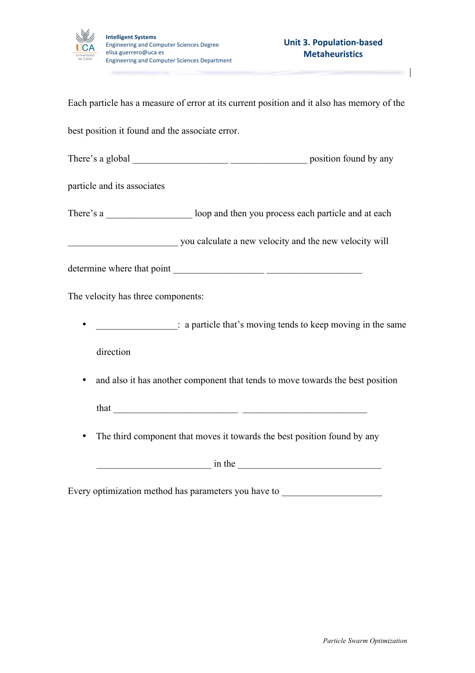

 $\overline{\phantom{a}}$ 

Each particle has a measure of error at its current position and it also has memory of the best position it found and the associate error. There's a global \_\_\_\_\_\_\_\_\_\_\_\_\_\_\_\_\_\_\_\_ \_\_\_\_\_\_\_\_\_\_\_\_\_\_\_\_ position found by any particle and its associates There's a compared loop and then you process each particle and at each particle and at each particle and at each particle and at each particle and at each particle and at each particle and at each particle and at each part \_\_\_\_\_\_\_\_\_\_\_\_\_\_\_\_\_\_\_\_\_\_\_ you calculate a new velocity and the new velocity will determine where that point \_\_\_\_\_\_\_\_\_\_\_\_\_\_\_\_\_\_\_ \_\_\_\_\_\_\_\_\_\_\_\_\_\_\_\_\_\_\_\_ The velocity has three components: •  $\therefore$  a particle that's moving tends to keep moving in the same direction • and also it has another component that tends to move towards the best position that  $\frac{1}{\sqrt{2}}$ • The third component that moves it towards the best position found by any \_\_\_\_\_\_\_\_\_\_\_\_\_\_\_\_\_\_\_\_\_\_\_\_ in the \_\_\_\_\_\_\_\_\_\_\_\_\_\_\_\_\_\_\_\_\_\_\_\_\_\_\_\_\_\_ Every optimization method has parameters you have to \_\_\_\_\_\_\_\_\_\_\_\_\_\_\_\_\_\_\_\_\_\_\_\_\_\_\_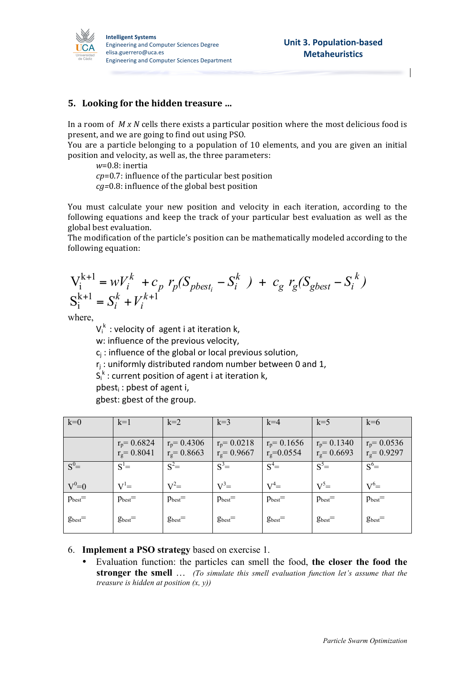

## **5.** Looking for the hidden treasure ...

In a room of *M x N* cells there exists a particular position where the most delicious food is present, and we are going to find out using PSO.

You are a particle belonging to a population of 10 elements, and you are given an initial position and velocity, as well as, the three parameters:

*w*=0.8: inertia

*cp*=0.7: influence of the particular best position

*cg*=0.8: influence of the global best position

You must calculate your new position and velocity in each iteration, according to the following equations and keep the track of your particular best evaluation as well as the global best evaluation.

The modification of the particle's position can be mathematically modeled according to the following equation:

$$
V_i^{k+1} = wV_i^k + c_p r_p(S_{pbest_i} - S_i^k) + c_g r_g(S_{gbest} - S_i^k)
$$
  

$$
S_i^{k+1} = S_i^k + V_i^{k+1}
$$

where,

 $V_i^k$  : velocity of agent i at iteration k,  $k$ 

w: influence of the previous velocity,

 $c_i$ : influence of the global or local previous solution,

 $r_i$ : uniformly distributed random number between 0 and 1,

 $S_i^k$  : current position of agent i at iteration k,

 $pbest_i$ : pbest of agent i,

gbest: gbest of the group.

| $k=0$        | $k=1$                         | $k=2$                            | $k=3$                            | $k=4$                            | $k=5$                            | $k=6$                            |
|--------------|-------------------------------|----------------------------------|----------------------------------|----------------------------------|----------------------------------|----------------------------------|
|              | $r_p = 0.6824$<br>$rg=0.8041$ | $r_p = 0.4306$<br>$r_g = 0.8663$ | $r_p = 0.0218$<br>$r_g = 0.9667$ | $r_p = 0.1656$<br>$r_g = 0.0554$ | $r_p = 0.1340$<br>$r_g = 0.6693$ | $r_p = 0.0536$<br>$r_g = 0.9297$ |
| $S^0=$       | $S^1=$                        | $S^2=$                           | $S^3=$                           | $S^4=$                           | $S^5=$                           | $S^6=$                           |
| $V^0=0$      | $V^{\text{I}}=$               | $V^2=$                           | $V^3=$                           | $V^4=$                           | $V^5=$                           | $V^6=$                           |
| $p_{best}$ = | $p_{best}$ =                  | $p_{best}$ =                     | $p_{best}$ =                     | $p_{best}$ =                     | $p_{best}$ =                     | $p_{best}$ =                     |
| $g_{best}$ = | $g_{best}$ =                  | $g_{best}$ =                     | $g_{best}$ =                     | $g_{best}$ =                     | $g_{best}$ =                     | $g_{best}$ =                     |

6. **Implement a PSO strategy** based on exercise 1.

• Evaluation function: the particles can smell the food, **the closer the food the stronger the smell** … *(To simulate this smell evaluation function let's assume that the treasure is hidden at position (x, y))*